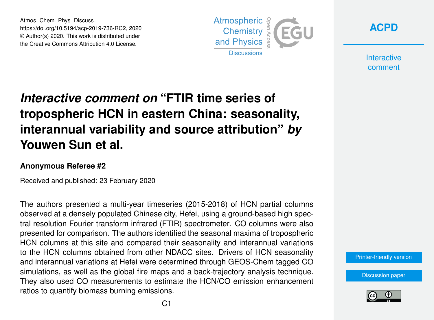Atmos. Chem. Phys. Discuss., https://doi.org/10.5194/acp-2019-736-RC2, 2020 © Author(s) 2020. This work is distributed under the Creative Commons Attribution 4.0 License.





**Interactive** comment

## *Interactive comment on* **"FTIR time series of tropospheric HCN in eastern China: seasonality, interannual variability and source attribution"** *by* **Youwen Sun et al.**

## **Anonymous Referee #2**

Received and published: 23 February 2020

The authors presented a multi-year timeseries (2015-2018) of HCN partial columns observed at a densely populated Chinese city, Hefei, using a ground-based high spectral resolution Fourier transform infrared (FTIR) spectrometer. CO columns were also presented for comparison. The authors identified the seasonal maxima of tropospheric HCN columns at this site and compared their seasonality and interannual variations to the HCN columns obtained from other NDACC sites. Drivers of HCN seasonality and interannual variations at Hefei were determined through GEOS-Chem tagged CO simulations, as well as the global fire maps and a back-trajectory analysis technique. They also used CO measurements to estimate the HCN/CO emission enhancement ratios to quantify biomass burning emissions.

[Printer-friendly version](https://www.atmos-chem-phys-discuss.net/acp-2019-736/acp-2019-736-RC2-print.pdf)

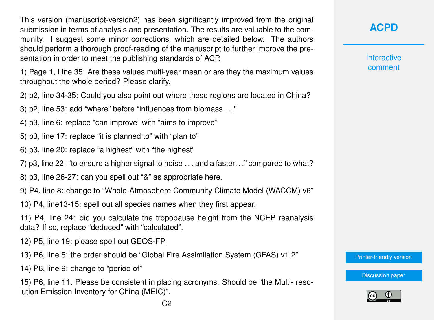This version (manuscript-version2) has been significantly improved from the original submission in terms of analysis and presentation. The results are valuable to the community. I suggest some minor corrections, which are detailed below. The authors should perform a thorough proof-reading of the manuscript to further improve the presentation in order to meet the publishing standards of ACP.

1) Page 1, Line 35: Are these values multi-year mean or are they the maximum values throughout the whole period? Please clarify.

2) p2, line 34-35: Could you also point out where these regions are located in China?

3) p2, line 53: add "where" before "influences from biomass . . ."

- 4) p3, line 6: replace "can improve" with "aims to improve"
- 5) p3, line 17: replace "it is planned to" with "plan to"
- 6) p3, line 20: replace "a highest" with "the highest"
- 7) p3, line 22: "to ensure a higher signal to noise . . . and a faster. . ." compared to what?

8) p3, line 26-27: can you spell out "&" as appropriate here.

9) P4, line 8: change to "Whole-Atmosphere Community Climate Model (WACCM) v6"

10) P4, line13-15: spell out all species names when they first appear.

11) P4, line 24: did you calculate the tropopause height from the NCEP reanalysis data? If so, replace "deduced" with "calculated".

12) P5, line 19: please spell out GEOS-FP.

- 13) P6, line 5: the order should be "Global Fire Assimilation System (GFAS) v1.2"
- 14) P6, line 9: change to "period of"

15) P6, line 11: Please be consistent in placing acronyms. Should be "the Multi- resolution Emission Inventory for China (MEIC)".

## **[ACPD](https://www.atmos-chem-phys-discuss.net/)**

Interactive comment

[Printer-friendly version](https://www.atmos-chem-phys-discuss.net/acp-2019-736/acp-2019-736-RC2-print.pdf)

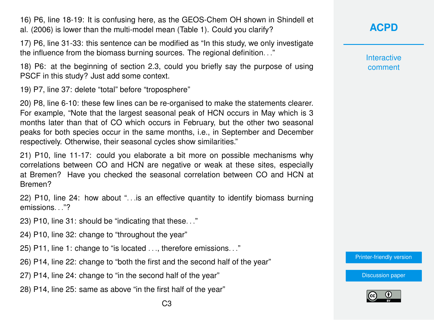16) P6, line 18-19: It is confusing here, as the GEOS-Chem OH shown in Shindell et al. (2006) is lower than the multi-model mean (Table 1). Could you clarify?

17) P6, line 31-33: this sentence can be modified as "In this study, we only investigate the influence from the biomass burning sources. The regional definition. . ."

18) P6: at the beginning of section 2.3, could you briefly say the purpose of using PSCF in this study? Just add some context.

19) P7, line 37: delete "total" before "troposphere"

20) P8, line 6-10: these few lines can be re-organised to make the statements clearer. For example, "Note that the largest seasonal peak of HCN occurs in May which is 3 months later than that of CO which occurs in February, but the other two seasonal peaks for both species occur in the same months, i.e., in September and December respectively. Otherwise, their seasonal cycles show similarities."

21) P10, line 11-17: could you elaborate a bit more on possible mechanisms why correlations between CO and HCN are negative or weak at these sites, especially at Bremen? Have you checked the seasonal correlation between CO and HCN at Bremen?

22) P10, line 24: how about ". . .is an effective quantity to identify biomass burning emissions. . ."?

23) P10, line 31: should be "indicating that these. . ."

24) P10, line 32: change to "throughout the year"

25) P11, line 1: change to "is located . . ., therefore emissions. . ."

26) P14, line 22: change to "both the first and the second half of the year"

27) P14, line 24: change to "in the second half of the year"

28) P14, line 25: same as above "in the first half of the year"

**Interactive** comment

[Printer-friendly version](https://www.atmos-chem-phys-discuss.net/acp-2019-736/acp-2019-736-RC2-print.pdf)